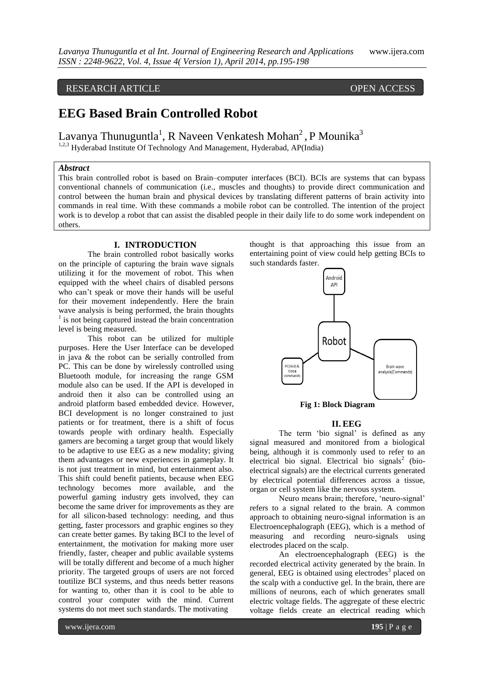# RESEARCH ARTICLE OPEN ACCESS

# **EEG Based Brain Controlled Robot**

Lavanya Thunuguntla<sup>1</sup>, R Naveen Venkatesh Mohan<sup>2</sup>, P Mounika<sup>3</sup> <sup>1,2,3</sup> Hyderabad Institute Of Technology And Management, Hyderabad, AP(India)

#### *Abstract*

This brain controlled robot is based on Brain–computer interfaces (BCI). BCIs are systems that can bypass conventional channels of communication (i.e., muscles and thoughts) to provide direct communication and control between the human brain and physical devices by translating different patterns of brain activity into commands in real time. With these commands a mobile robot can be controlled. The intention of the project work is to develop a robot that can assist the disabled people in their daily life to do some work independent on others.

# **I. INTRODUCTION**

The brain controlled robot basically works on the principle of capturing the brain wave signals utilizing it for the movement of robot. This when equipped with the wheel chairs of disabled persons who can't speak or move their hands will be useful for their movement independently. Here the brain wave analysis is being performed, the brain thoughts <sup>1</sup> is not being captured instead the brain concentration level is being measured.

This robot can be utilized for multiple purposes. Here the User Interface can be developed in java & the robot can be serially controlled from PC. This can be done by wirelessly controlled using Bluetooth module, for increasing the range GSM module also can be used. If the API is developed in android then it also can be controlled using an android platform based embedded device. However, BCI development is no longer constrained to just patients or for treatment, there is a shift of focus towards people with ordinary health. Especially gamers are becoming a target group that would likely to be adaptive to use EEG as a new modality; giving them advantages or new experiences in gameplay. It is not just treatment in mind, but entertainment also. This shift could benefit patients, because when EEG technology becomes more available, and the powerful gaming industry gets involved, they can become the same driver for improvements as they are for all silicon-based technology: needing, and thus getting, faster processors and graphic engines so they can create better games. By taking BCI to the level of entertainment, the motivation for making more user friendly, faster, cheaper and public available systems will be totally different and become of a much higher priority. The targeted groups of users are not forced toutilize BCI systems, and thus needs better reasons for wanting to, other than it is cool to be able to control your computer with the mind. Current systems do not meet such standards. The motivating

thought is that approaching this issue from an entertaining point of view could help getting BCIs to such standards faster.



**Fig 1: Block Diagram**

#### **II. EEG**

The term 'bio signal' is defined as any signal measured and monitored from a biological being, although it is commonly used to refer to an electrical bio signal. Electrical bio signals<sup>2</sup> (bioelectrical signals) are the electrical currents generated by electrical potential differences across a tissue, organ or cell system like the nervous system.

Neuro means brain; therefore, 'neuro-signal' refers to a signal related to the brain. A common approach to obtaining neuro-signal information is an Electroencephalograph (EEG), which is a method of measuring and recording neuro-signals using electrodes placed on the scalp.

An electroencephalograph (EEG) is the recorded electrical activity generated by the brain. In general, EEG is obtained using electrodes<sup>3</sup> placed on the scalp with a conductive gel. In the brain, there are millions of neurons, each of which generates small electric voltage fields. The aggregate of these electric voltage fields create an electrical reading which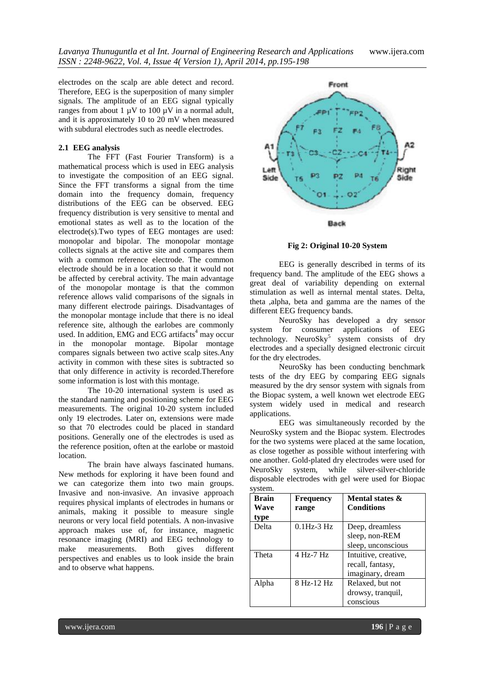electrodes on the scalp are able detect and record. Therefore, EEG is the superposition of many simpler signals. The amplitude of an EEG signal typically ranges from about 1  $\mu$ V to 100  $\mu$ V in a normal adult, and it is approximately 10 to 20 mV when measured with subdural electrodes such as needle electrodes.

# **2.1 EEG analysis**

The FFT (Fast Fourier Transform) is a mathematical process which is used in EEG analysis to investigate the composition of an EEG signal. Since the FFT transforms a signal from the time domain into the frequency domain, frequency distributions of the EEG can be observed. EEG frequency distribution is very sensitive to mental and emotional states as well as to the location of the electrode(s).Two types of EEG montages are used: monopolar and bipolar. The monopolar montage collects signals at the active site and compares them with a common reference electrode. The common electrode should be in a location so that it would not be affected by cerebral activity. The main advantage of the monopolar montage is that the common reference allows valid comparisons of the signals in many different electrode pairings. Disadvantages of the monopolar montage include that there is no ideal reference site, although the earlobes are commonly used. In addition, EMG and ECG artifacts<sup>4</sup> may occur in the monopolar montage. Bipolar montage compares signals between two active scalp sites.Any activity in common with these sites is subtracted so that only difference in activity is recorded.Therefore some information is lost with this montage.

The 10-20 international system is used as the standard naming and positioning scheme for EEG measurements. The original 10-20 system included only 19 electrodes. Later on, extensions were made so that 70 electrodes could be placed in standard positions. Generally one of the electrodes is used as the reference position, often at the earlobe or mastoid location.

The brain have always fascinated humans. New methods for exploring it have been found and we can categorize them into two main groups. Invasive and non-invasive. An invasive approach requires physical implants of electrodes in humans or animals, making it possible to measure single neurons or very local field potentials. A non-invasive approach makes use of, for instance, magnetic resonance imaging (MRI) and EEG technology to make measurements. Both gives different perspectives and enables us to look inside the brain and to observe what happens.



**Fig 2: Original 10-20 System**

EEG is generally described in terms of its frequency band. The amplitude of the EEG shows a great deal of variability depending on external stimulation as well as internal mental states. Delta, theta ,alpha, beta and gamma are the names of the different EEG frequency bands.

NeuroSky has developed a dry sensor system for consumer applications of EEG technology. NeuroSky<sup>5</sup> system consists of dry electrodes and a specially designed electronic circuit for the dry electrodes.

NeuroSky has been conducting benchmark tests of the dry EEG by comparing EEG signals measured by the dry sensor system with signals from the Biopac system, a well known wet electrode EEG system widely used in medical and research applications.

EEG was simultaneously recorded by the NeuroSky system and the Biopac system. Electrodes for the two systems were placed at the same location, as close together as possible without interfering with one another. Gold-plated dry electrodes were used for NeuroSky system, while silver-silver-chloride disposable electrodes with gel were used for Biopac system.

| <b>Brain</b><br>Wave<br>type | Frequency<br>range | Mental states &<br><b>Conditions</b>                         |
|------------------------------|--------------------|--------------------------------------------------------------|
| Delta                        | $0.1$ Hz- $3$ Hz   | Deep, dreamless<br>sleep, non-REM<br>sleep, unconscious      |
| Theta                        | 4 Hz-7 Hz          | Intuitive, creative,<br>recall, fantasy,<br>imaginary, dream |
| Alpha                        | 8 Hz-12 Hz         | Relaxed, but not<br>drowsy, tranquil,<br>conscious           |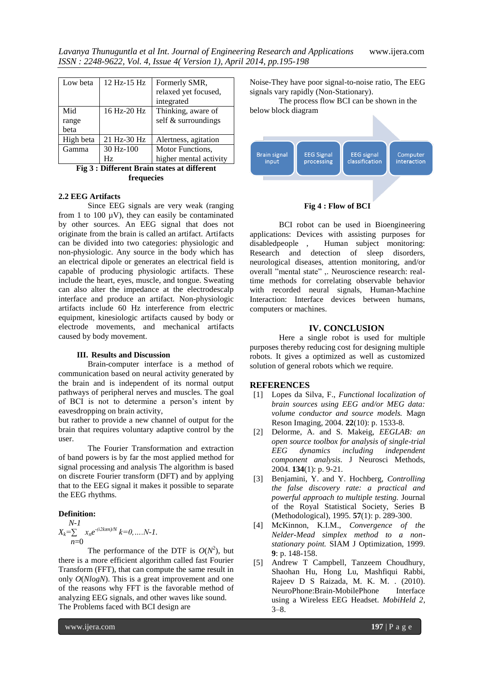| Low beta  | $12$ Hz- $15$ Hz | Formerly SMR,<br>relaxed yet focused,<br>integrated |
|-----------|------------------|-----------------------------------------------------|
| Mid       | 16 Hz-20 Hz      | Thinking, aware of                                  |
| range     |                  | self & surroundings                                 |
| beta      |                  |                                                     |
| High beta | 21 Hz-30 Hz      | Alertness, agitation                                |
| Gamma     | $30 Hz - 100$    | Motor Functions,                                    |
|           | Hz.              | higher mental activity                              |

**Fig 3 : Different Brain states at different frequecies**

### **2.2 EEG Artifacts**

Since EEG signals are very weak (ranging from 1 to 100  $\mu$ V), they can easily be contaminated by other sources. An EEG signal that does not originate from the brain is called an artifact. Artifacts can be divided into two categories: physiologic and non-physiologic. Any source in the body which has an electrical dipole or generates an electrical field is capable of producing physiologic artifacts. These include the heart, eyes, muscle, and tongue. Sweating can also alter the impedance at the electrodescalp interface and produce an artifact. Non-physiologic artifacts include 60 Hz interference from electric equipment, kinesiologic artifacts caused by body or electrode movements, and mechanical artifacts caused by body movement.

#### **III. Results and Discussion**

Brain-computer interface is a method of communication based on neural activity generated by the brain and is independent of its normal output pathways of peripheral nerves and muscles. The goal of BCI is not to determine a person's intent by eavesdropping on brain activity,

but rather to provide a new channel of output for the brain that requires voluntary adaptive control by the user.

The Fourier Transformation and extraction of band powers is by far the most applied method for signal processing and analysis The algorithm is based on discrete Fourier transform (DFT) and by applying that to the EEG signal it makes it possible to separate the EEG rhythms.

#### **Definition:**

$$
X_k = \sum_{n=0}^{N-1} x_n e^{-(i2k\pi n)/N} k = 0, \dots N-1.
$$

The performance of the DTF is  $O(N^2)$ , but there is a more efficient algorithm called fast Fourier Transform (FFT), that can compute the same result in only *O*(*NlogN*). This is a great improvement and one of the reasons why FFT is the favorable method of analyzing EEG signals, and other waves like sound. The Problems faced with BCI design are

Noise-They have poor signal-to-noise ratio, The EEG signals vary rapidly (Non-Stationary).

The process flow BCI can be shown in the below block diagram



#### **Fig 4 : Flow of BCI**

BCI robot can be used in Bioengineering applications: Devices with assisting purposes for disabled<br>people , Human subject monitoring: Human subject monitoring: Research and detection of sleep disorders, neurological diseases, attention monitoring, and/or overall "mental state" ,. Neuroscience research: realtime methods for correlating observable behavior with recorded neural signals, Human-Machine Interaction: Interface devices between humans, computers or machines.

# **IV. CONCLUSION**

Here a single robot is used for multiple purposes thereby reducing cost for designing multiple robots. It gives a optimized as well as customized solution of general robots which we require.

### **REFERENCES**

- [1] Lopes da Silva, F., *Functional localization of brain sources using EEG and/or MEG data: volume conductor and source models.* Magn Reson Imaging, 2004. **22**(10): p. 1533-8.
- [2] Delorme, A. and S. Makeig, *EEGLAB: an open source toolbox for analysis of single-trial EEG dynamics including independent component analysis.* J Neurosci Methods, 2004. **134**(1): p. 9-21.
- [3] Benjamini, Y. and Y. Hochberg, *Controlling the false discovery rate: a practical and powerful approach to multiple testing.* Journal of the Royal Statistical Society, Series B (Methodological), 1995. **57**(1): p. 289-300.
- [4] McKinnon, K.I.M., *Convergence of the Nelder-Mead simplex method to a nonstationary point.* SIAM J Optimization, 1999. **9**: p. 148-158.
- [5] Andrew T Campbell, Tanzeem Choudhury, Shaohan Hu, Hong Lu, Mashfiqui Rabbi, Rajeev D S Raizada, M. K. M. . (2010). NeuroPhone:Brain-MobilePhone Interface using a Wireless EEG Headset. *MobiHeld 2*, 3–8.